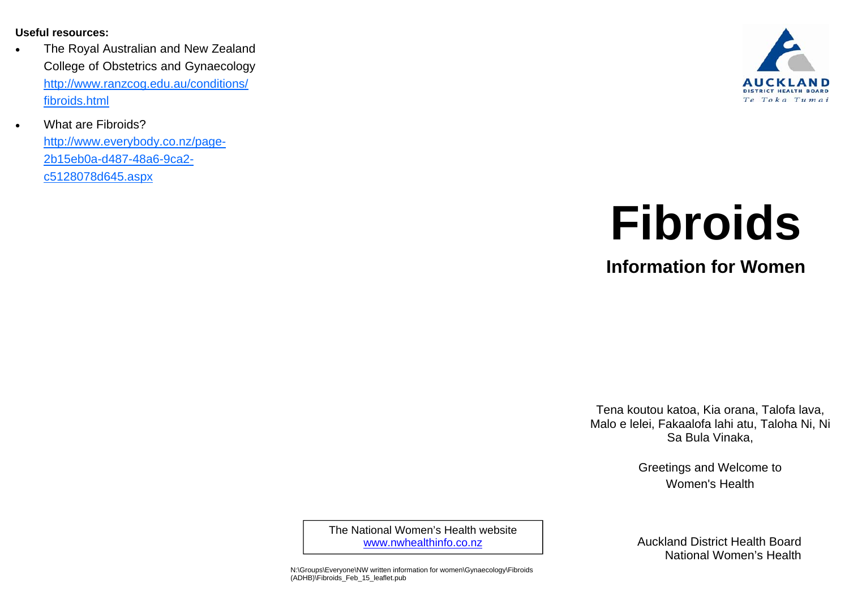**Useful resources:** 

 $\bullet$ 

- $\bullet$  The Royal Australian and New Zealand College of Obstetrics and Gynaecology http://www.ranzcog.edu.au/conditions/ fibroids.html
	- What are Fibroids?

http://www.everybody.co.nz/page-2b15eb0a-d487-48a6-9ca2 c5128078d645.aspx



# **Fibroids**

**Information for Women** 

Tena koutou katoa, Kia orana, Talofa lava, Malo e lelei, Fakaalofa lahi atu, Taloha Ni, Ni Sa Bula Vinaka,

> Greetings and Welcome to Women's Health

The National Women's Health website www.nwhealthinfo.co.nz

N:\Groups\Everyone\NW written information for women\Gynaecology\Fibroids (ADHB)\Fibroids\_Feb\_15\_leaflet.pub

Auckland District Health Board National Women's Health